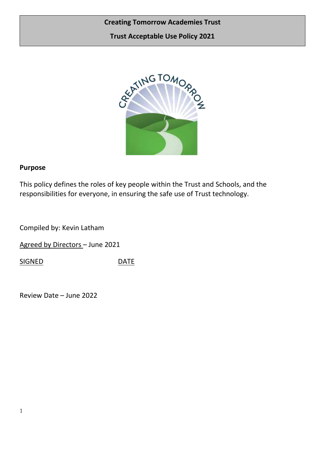**Trust Acceptable Use Policy 2021**



#### **Purpose**

This policy defines the roles of key people within the Trust and Schools, and the responsibilities for everyone, in ensuring the safe use of Trust technology.

Compiled by: Kevin Latham

Agreed by Directors – June 2021

SIGNED DATE

Review Date – June 2022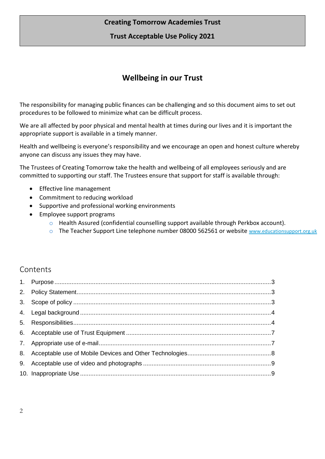#### **Trust Acceptable Use Policy 2021**

## **Wellbeing in our Trust**

The responsibility for managing public finances can be challenging and so this document aims to set out procedures to be followed to minimize what can be difficult process.

We are all affected by poor physical and mental health at times during our lives and it is important the appropriate support is available in a timely manner.

Health and wellbeing is everyone's responsibility and we encourage an open and honest culture whereby anyone can discuss any issues they may have.

The Trustees of Creating Tomorrow take the health and wellbeing of all employees seriously and are committed to supporting our staff. The Trustees ensure that support for staff is available through:

- Effective line management
- Commitment to reducing workload
- Supportive and professional working environments
- Employee support programs
	- o Health Assured (confidential counselling support available through Perkbox account).
	- o The Teacher Support Line telephone number 08000 562561 or website [www.educationsupport.org.uk](https://www.educationsupport.org.uk/)

### Contents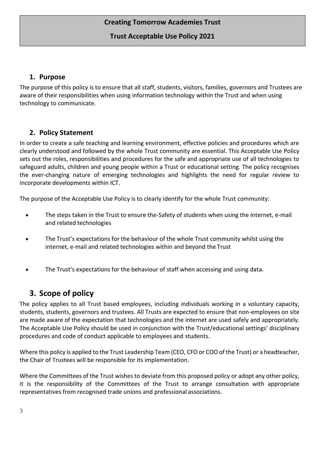### <span id="page-2-0"></span>**1. Purpose**

The purpose of this policy is to ensure that all staff, students, visitors, families, governors and Trustees are aware of their responsibilities when using information technology within the Trust and when using technology to communicate.

### <span id="page-2-1"></span>**2. Policy Statement**

In order to create a safe teaching and learning environment, effective policies and procedures which are clearly understood and followed by the whole Trust community are essential. This Acceptable Use Policy sets out the roles, responsibilities and procedures for the safe and appropriate use of all technologies to safeguard adults, children and young people within a Trust or educational setting. The policy recognises the ever-changing nature of emerging technologies and highlights the need for regular review to incorporate developments within ICT.

The purpose of the Acceptable Use Policy is to clearly identify for the whole Trust community:

- The steps taken in the Trust to ensure the-Safety of students when using the internet, e-mail and related technologies
- The Trust's expectations for the behaviour of the whole Trust community whilst using the internet, e-mail and related technologies within and beyond the Trust
- The Trust's expectations for the behaviour of staff when accessing and using data.

## <span id="page-2-2"></span>**3. Scope of policy**

The policy applies to all Trust based employees, including individuals working in a voluntary capacity, students, students, governors and trustees. All Trusts are expected to ensure that non-employees on site are made aware of the expectation that technologies and the internet are used safely and appropriately. The Acceptable Use Policy should be used in conjunction with the Trust/educational settings' disciplinary procedures and code of conduct applicable to employees and students.

Where this policy is applied to the Trust Leadership Team (CEO, CFO or COO of the Trust) or a headteacher, the Chair of Trustees will be responsible for its implementation.

Where the Committees of the Trust wishes to deviate from this proposed policy or adopt any other policy, it is the responsibility of the Committees of the Trust to arrange consultation with appropriate representatives from recognised trade unions and professional associations.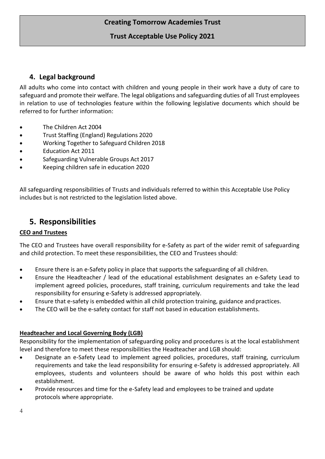## **4. Legal background**

<span id="page-3-0"></span>All adults who come into contact with children and young people in their work have a duty of care to safeguard and promote their welfare. The legal obligations and safeguarding duties of all Trust employees in relation to use of technologies feature within the following legislative documents which should be referred to for further information:

- The Children Act 2004
- Trust Staffing (England) Regulations 2020
- Working Together to Safeguard Children 2018
- Education Act 2011
- Safeguarding Vulnerable Groups Act 2017
- Keeping children safe in education 2020

All safeguarding responsibilities of Trusts and individuals referred to within this Acceptable Use Policy includes but is not restricted to the legislation listed above.

## <span id="page-3-1"></span>**5. Responsibilities**

#### **CEO and Trustees**

The CEO and Trustees have overall responsibility for e-Safety as part of the wider remit of safeguarding and child protection. To meet these responsibilities, the CEO and Trustees should:

- Ensure there is an e-Safety policy in place that supports the safeguarding of all children.
- Ensure the Headteacher / lead of the educational establishment designates an e-Safety Lead to implement agreed policies, procedures, staff training, curriculum requirements and take the lead responsibility for ensuring e-Safety is addressed appropriately.
- Ensure that e-safety is embedded within all child protection training, guidance and practices.
- The CEO will be the e-safety contact for staff not based in education establishments.

#### **Headteacher and Local Governing Body (LGB)**

Responsibility for the implementation of safeguarding policy and procedures is at the local establishment level and therefore to meet these responsibilities the Headteacher and LGB should:

- Designate an e-Safety Lead to implement agreed policies, procedures, staff training, curriculum requirements and take the lead responsibility for ensuring e-Safety is addressed appropriately. All employees, students and volunteers should be aware of who holds this post within each establishment.
- Provide resources and time for the e-Safety lead and employees to be trained and update protocols where appropriate.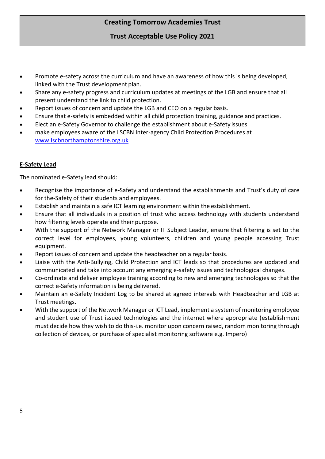#### **Trust Acceptable Use Policy 2021**

- Promote e-safety across the curriculum and have an awareness of how this is being developed, linked with the Trust development plan.
- Share any e-safety progress and curriculum updates at meetings of the LGB and ensure that all present understand the link to child protection.
- Report issues of concern and update the LGB and CEO on a regular basis.
- Ensure that e-safety is embedded within all child protection training, guidance and practices.
- Elect an e-Safety Governor to challenge the establishment about e-Safety issues.
- make employees aware of the LSCBN Inter-agency Child Protection Procedures a[t](http://www.lscbnorthamptonshire.org.uk/) [www.lscbnorthamptonshire.org.uk](http://www.lscbnorthamptonshire.org.uk/)

#### **E-Safety Lead**

The nominated e-Safety lead should:

- Recognise the importance of e-Safety and understand the establishments and Trust's duty of care for the-Safety of their students and employees.
- Establish and maintain a safe ICT learning environment within the establishment.
- Ensure that all individuals in a position of trust who access technology with students understand how filtering levels operate and their purpose.
- With the support of the Network Manager or IT Subject Leader, ensure that filtering is set to the correct level for employees, young volunteers, children and young people accessing Trust equipment.
- Report issues of concern and update the headteacher on a regular basis.
- Liaise with the Anti-Bullying, Child Protection and ICT leads so that procedures are updated and communicated and take into account any emerging e-safety issues and technological changes.
- Co-ordinate and deliver employee training according to new and emerging technologies so that the correct e-Safety information is being delivered.
- Maintain an e-Safety Incident Log to be shared at agreed intervals with Headteacher and LGB at Trust meetings.
- With the support of the Network Manager or ICT Lead, implement a system of monitoring employee and student use of Trust issued technologies and the internet where appropriate (establishment must decide how they wish to do this-i.e. monitor upon concern raised, random monitoring through collection of devices, or purchase of specialist monitoring software e.g. Impero)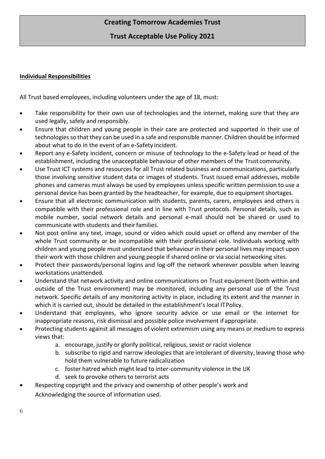#### **Trust Acceptable Use Policy 2021**

#### **Individual Responsibilities**

All Trust based employees, including volunteers under the age of 18, must:

- Take responsibility for their own use of technologies and the internet, making sure that they are used legally, safely and responsibly.
- Ensure that children and young people in their care are protected and supported in their use of technologies so that they can be used in a safe and responsible manner. Children should be informed about what to do in the event of an e-Safety incident.
- Report any e-Safety incident, concern or misuse of technology to the e-Safety lead or head of the establishment, including the unacceptable behaviour of other members of the Trust community.
- Use Trust ICT systems and resources for all Trust related business and communications, particularly those involving sensitive student data or images of students. Trust issued email addresses, mobile phones and cameras must always be used by employees unless specific written permission to use a personal device has been granted by the headteacher, for example, due to equipment shortages.
- Ensure that all electronic communication with students, parents, carers, employees and others is compatible with their professional role and in line with Trust protocols. Personal details, such as mobile number, social network details and personal e-mail should not be shared or used to communicate with students and theirfamilies.
- Not post online any text, image, sound or video which could upset or offend any member of the whole Trust community or be incompatible with their professional role. Individuals working with children and young people must understand that behaviour in their personal lives may impact upon their work with those children and young people if shared online or via social networking sites.
- Protect their passwords/personal logins and log-off the network wherever possible when leaving workstations unattended.
- Understand that network activity and online communications on Trust equipment (both within and outside of the Trust environment) may be monitored, including any personal use of the Trust network. Specific details of any monitoring activity in place, including its extent and the manner in which it is carried out, should be detailed in the establishment's local ITPolicy.
- Understand that employees, who ignore security advice or use email or the internet for inappropriate reasons, risk dismissal and possible police involvement if appropriate.
- Protecting students against all messages of violent extremism using any means or medium to express views that:
	- a. encourage, justify or glorify political, religious, sexist or racist violence
	- b. subscribe to rigid and narrow ideologies that are intolerant of diversity, leaving those who hold them vulnerable to future radicalization
	- c. foster hatred which might lead to inter-community violence in the UK
	- d. seek to provoke others to terrorist acts
- Respecting copyright and the privacy and ownership of other people's work and Acknowledging the source of information used.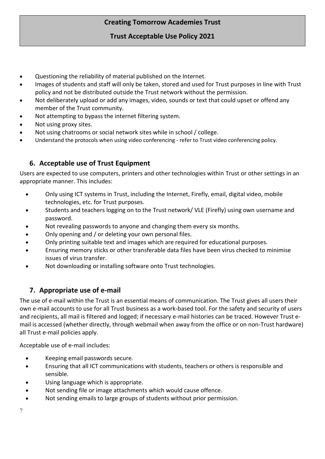### **Trust Acceptable Use Policy 2021**

- Questioning the reliability of material published on the Internet.
- Images of students and staff will only be taken, stored and used for Trust purposes in line with Trust policy and not be distributed outside the Trust network without the permission.
- Not deliberately upload or add any images, video, sounds or text that could upset or offend any member of the Trust community.
- Not attempting to bypass the internet filtering system.
- Not using proxy sites.
- Not using chatrooms or social network sites while in school / college.
- Understand the protocols when using video conferencing refer to Trust video conferencing policy.

#### <span id="page-6-0"></span>**6. Acceptable use of Trust Equipment**

Users are expected to use computers, printers and other technologies within Trust or other settings in an appropriate manner. This includes:

- Only using ICT systems in Trust, including the Internet, Firefly, email, digital video, mobile technologies, etc. for Trust purposes.
- Students and teachers logging on to the Trust network/ VLE (Firefly) using own username and password.
- Not revealing passwords to anyone and changing them every six months.
- Only opening and / or deleting your own personal files.
- Only printing suitable text and images which are required for educational purposes.
- Ensuring memory sticks or other transferable data files have been virus checked to minimise issues of virus transfer.
- Not downloading or installing software onto Trust technologies.

### <span id="page-6-1"></span>**7. Appropriate use of e-mail**

The use of e-mail within the Trust is an essential means of communication. The Trust gives all users their own e-mail accounts to use for all Trust business as a work-based tool. For the safety and security of users and recipients, all mail is filtered and logged; if necessary e-mail histories can be traced. However Trust email is accessed (whether directly, through webmail when away from the office or on non-Trust hardware) all Trust e-mail policies apply.

Acceptable use of e-mail includes:

- Keeping email passwords secure.
- Ensuring that all ICT communications with students, teachers or others is responsible and sensible.
- Using language which is appropriate.
- Not sending file or image attachments which would cause offence.
- Not sending emails to large groups of students without prior permission.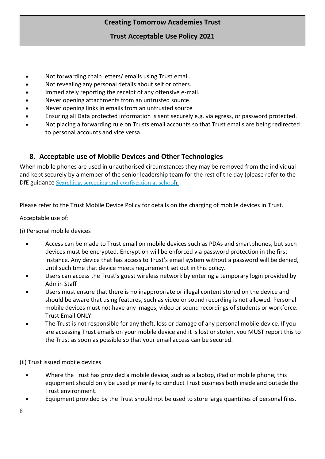- Not forwarding chain letters/ emails using Trust email.
- Not revealing any personal details about self or others.
- Immediately reporting the receipt of any offensive e-mail.
- Never opening attachments from an untrusted source.
- Never opening links in emails from an untrusted source
- Ensuring all Data protected information is sent securely e.g. via egress, or password protected.
- Not placing a forwarding rule on Trusts email accounts so that Trust emails are being redirected to personal accounts and vice versa.

### <span id="page-7-0"></span>**8. Acceptable use of Mobile Devices and Other Technologies**

When mobile phones are used in unauthorised circumstances they may be removed from the individual and kept securely by a member of the senior leadership team for the rest of the day (please refer to the DfE guidance Searching, screening and confiscation at school).

Please refer to the Trust Mobile Device Policy for details on the charging of mobile devices in Trust.

Acceptable use of:

(i) Personal mobile devices

- Access can be made to Trust email on mobile devices such as PDAs and smartphones, but such devices must be encrypted. Encryption will be enforced via password protection in the first instance. Any device that has access to Trust's email system without a password will be denied, until such time that device meets requirement set out in this policy.
- Users can access the Trust's guest wireless network by entering a temporary login provided by Admin Staff
- Users must ensure that there is no inappropriate or illegal content stored on the device and should be aware that using features, such as video or sound recording is not allowed. Personal mobile devices must not have any images, video or sound recordings of students or workforce. Trust Email ONLY.
- The Trust is not responsible for any theft, loss or damage of any personal mobile device. If you are accessing Trust emails on your mobile device and it is lost or stolen, you MUST report this to the Trust as soon as possible so that your email access can be secured.

(ii) Trust issued mobile devices

- Where the Trust has provided a mobile device, such as a laptop, iPad or mobile phone, this equipment should only be used primarily to conduct Trust business both inside and outside the Trust environment.
- Equipment provided by the Trust should not be used to store large quantities of personal files.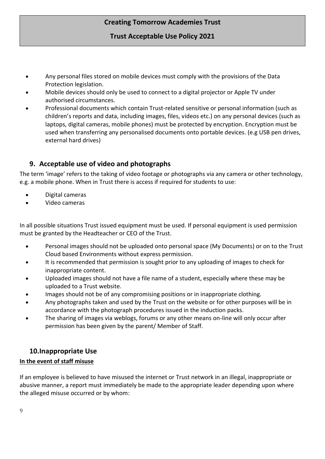- Any personal files stored on mobile devices must comply with the provisions of the Data Protection legislation.
- Mobile devices should only be used to connect to a digital projector or Apple TV under authorised circumstances.
- Professional documents which contain Trust-related sensitive or personal information (such as children's reports and data, including images, files, videos etc.) on any personal devices (such as laptops, digital cameras, mobile phones) must be protected by encryption. Encryption must be used when transferring any personalised documents onto portable devices. (e.g USB pen drives, external hard drives)

## <span id="page-8-0"></span>**9. Acceptable use of video and photographs**

The term 'image' refers to the taking of video footage or photographs via any camera or other technology, e.g. a mobile phone. When in Trust there is access if required for students to use:

- Digital cameras
- Video cameras

In all possible situations Trust issued equipment must be used. If personal equipment is used permission must be granted by the Headteacher or CEO of the Trust.

- Personal images should not be uploaded onto personal space (My Documents) or on to the Trust Cloud based Environments without express permission.
- It is recommended that permission is sought prior to any uploading of images to check for inappropriate content.
- Uploaded images should not have a file name of a student, especially where these may be uploaded to a Trust website.
- Images should not be of any compromising positions or in inappropriate clothing.
- Any photographs taken and used by the Trust on the website or for other purposes will be in accordance with the photograph procedures issued in the induction packs.
- The sharing of images via weblogs, forums or any other means on-line will only occur after permission has been given by the parent/ Member of Staff.

## <span id="page-8-1"></span>**10.Inappropriate Use**

#### **In the event of staff misuse**

If an employee is believed to have misused the internet or Trust network in an illegal, inappropriate or abusive manner, a report must immediately be made to the appropriate leader depending upon where the alleged misuse occurred or by whom: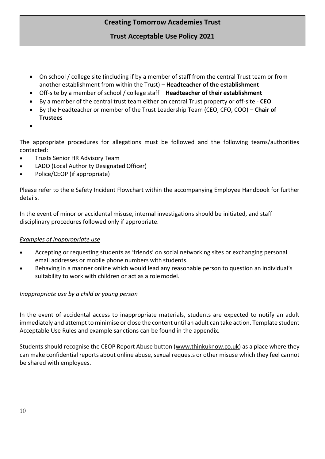- On school / college site (including if by a member of staff from the central Trust team or from another establishment from within the Trust) – **Headteacher of the establishment**
- Off-site by a member of school / college staff **Headteacher of their establishment**
- By a member of the central trust team either on central Trust property or off-site **CEO**
- By the Headteacher or member of the Trust Leadership Team (CEO, CFO, COO) **Chair of Trustees**
- $\bullet$

The appropriate procedures for allegations must be followed and the following teams/authorities contacted:

- Trusts Senior HR Advisory Team
- LADO (Local Authority Designated Officer)
- Police/CEOP (if appropriate)

Please refer to the e Safety Incident Flowchart within the accompanying Employee Handbook for further details.

In the event of minor or accidental misuse, internal investigations should be initiated, and staff disciplinary procedures followed only if appropriate.

#### *Examples of inappropriate use*

- Accepting or requesting students as 'friends' on social networking sites or exchanging personal email addresses or mobile phone numbers with students.
- Behaving in a manner online which would lead any reasonable person to question an individual's suitability to work with children or act as a rolemodel.

#### *Inappropriate use by a child or young person*

In the event of accidental access to inappropriate materials, students are expected to notify an adult immediately and attempt to minimise or close the content until an adult can take action. Template student Acceptable Use Rules and example sanctions can be found in the appendix.

Students should recognise the CEOP Report Abuse button [\(www.thinkuknow.co.uk\)](http://www.thinkuknow.co.uk/) as a place where they can make confidential reports about online abuse, sexual requests or other misuse which they feel cannot be shared with employees.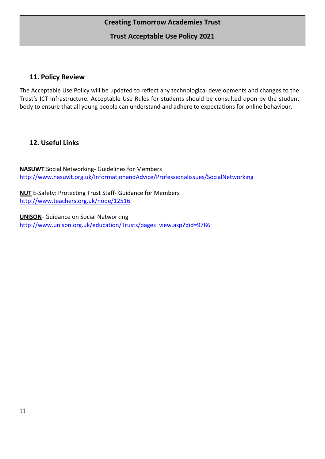#### **11. Policy Review**

The Acceptable Use Policy will be updated to reflect any technological developments and changes to the Trust's ICT Infrastructure. Acceptable Use Rules for students should be consulted upon by the student body to ensure that all young people can understand and adhere to expectations for online behaviour.

### **12. Useful Links**

**NASUWT** Social Networking- Guidelines for Members <http://www.nasuwt.org.uk/InformationandAdvice/Professionalissues/SocialNetworking>

**NUT** E-Safety: Protecting Trust Staff- Guidance for Members <http://www.teachers.org.uk/node/12516>

**UNISON**- Guidance on Social Networking [http://www.unison.org.uk/education/Trusts/pages\\_view.asp?did=9786](http://www.unison.org.uk/education/schools/pages_view.asp?did=9786)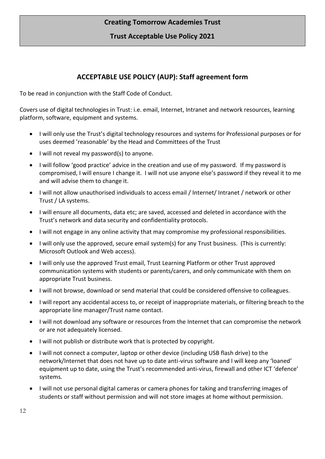#### **Trust Acceptable Use Policy 2021**

### **ACCEPTABLE USE POLICY (AUP): Staff agreement form**

To be read in conjunction with the Staff Code of Conduct.

Covers use of digital technologies in Trust: i.e. email, Internet, Intranet and network resources, learning platform, software, equipment and systems.

- I will only use the Trust's digital technology resources and systems for Professional purposes or for uses deemed 'reasonable' by the Head and Committees of the Trust
- I will not reveal my password(s) to anyone.
- I will follow 'good practice' advice in the creation and use of my password. If my password is compromised, I will ensure I change it. I will not use anyone else's password if they reveal it to me and will advise them to change it.
- I will not allow unauthorised individuals to access email / Internet/ Intranet / network or other Trust / LA systems.
- I will ensure all documents, data etc; are saved, accessed and deleted in accordance with the Trust's network and data security and confidentiality protocols.
- I will not engage in any online activity that may compromise my professional responsibilities.
- I will only use the approved, secure email system(s) for any Trust business. (This is currently: Microsoft Outlook and Web access).
- I will only use the approved Trust email, Trust Learning Platform or other Trust approved communication systems with students or parents/carers, and only communicate with them on appropriate Trust business.
- I will not browse, download or send material that could be considered offensive to colleagues.
- I will report any accidental access to, or receipt of inappropriate materials, or filtering breach to the appropriate line manager/Trust name contact.
- I will not download any software or resources from the Internet that can compromise the network or are not adequately licensed.
- I will not publish or distribute work that is protected by copyright.
- I will not connect a computer, laptop or other device (including USB flash drive) to the network/Internet that does not have up to date anti-virus software and I will keep any 'loaned' equipment up to date, using the Trust's recommended anti-virus, firewall and other ICT 'defence' systems.
- I will not use personal digital cameras or camera phones for taking and transferring images of students or staff without permission and will not store images at home without permission.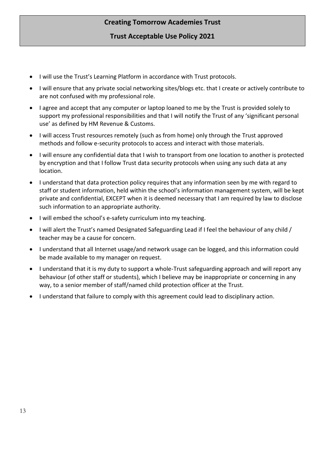#### **Trust Acceptable Use Policy 2021**

- I will use the Trust's Learning Platform in accordance with Trust protocols.
- I will ensure that any private social networking sites/blogs etc. that I create or actively contribute to are not confused with my professional role.
- I agree and accept that any computer or laptop loaned to me by the Trust is provided solely to support my professional responsibilities and that I will notify the Trust of any 'significant personal use' as defined by HM Revenue & Customs.
- I will access Trust resources remotely (such as from home) only through the Trust approved methods and follow e-security protocols to access and interact with those materials.
- I will ensure any confidential data that I wish to transport from one location to another is protected by encryption and that I follow Trust data security protocols when using any such data at any location.
- I understand that data protection policy requires that any information seen by me with regard to staff or student information, held within the school's information management system, will be kept private and confidential, EXCEPT when it is deemed necessary that I am required by law to disclose such information to an appropriate authority.
- I will embed the school's e-safety curriculum into my teaching.
- I will alert the Trust's named Designated Safeguarding Lead if I feel the behaviour of any child / teacher may be a cause for concern.
- I understand that all Internet usage/and network usage can be logged, and this information could be made available to my manager on request.
- I understand that it is my duty to support a whole-Trust safeguarding approach and will report any behaviour (of other staff or students), which I believe may be inappropriate or concerning in any way, to a senior member of staff/named child protection officer at the Trust.
- I understand that failure to comply with this agreement could lead to disciplinary action.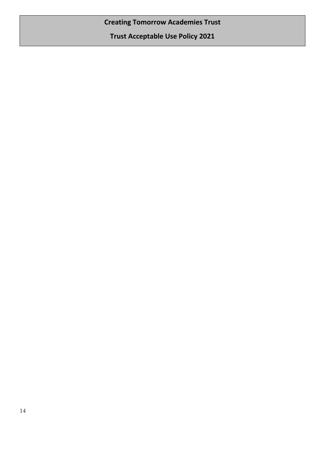**Trust Acceptable Use Policy 2021**